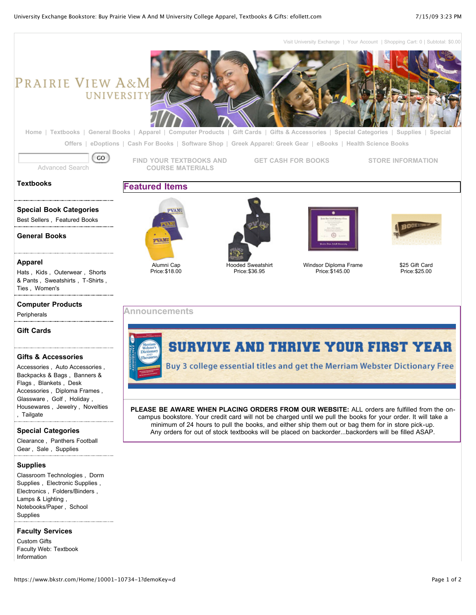[Visit University Exchange](http://www.pvamu.edu/) | [Your Account](https://www.bkstr.com/webapp/wcs/stores/servlet/FLLogon?langId=-1&catalogId=10001&storeId=10734&demoKey=d) | Shopping Cart: 0 | Subtotal: \$0.00

# PRAIRIE VIEW A&M UNIVERSITY



**[Home](https://www.bkstr.com/Home/10001-10734-1?demoKey=d)** | **[Textbooks](https://www.bkstr.com/CategoryDisplay/10001-9604-10734-1?demoKey=d)** | **[General Books](https://www.bkstr.com/NavigationSearchDisplay/10001-4294967294-10734-1?demoKey=d&navActionType=addNewRefinement)** | **[Apparel](https://www.bkstr.com/NavigationSearchDisplay/10001-4294962869-10734-1?demoKey=d&navActionType=addNewRefinement)** | **[Computer Products](https://www.bkstr.com/NavigationSearchDisplay/10001-4294963573-10734-1?demoKey=d&navActionType=addNewRefinement)** | **[Gift Cards](https://www.bkstr.com/NavigationSearchDisplay/10001-4294962450-10734-1?demoKey=d&navActionType=addNewRefinement)** | **[Gifts & Accessories](https://www.bkstr.com/NavigationSearchDisplay/10001-4294962609-10734-1?demoKey=d&navActionType=addNewRefinement)** | **[Special Categories](https://www.bkstr.com/NavigationSearchDisplay/10001-4294963535-10734-1?demoKey=d&navActionType=addNewRefinement)** | **[Supplies](https://www.bkstr.com/NavigationSearchDisplay/10001-4294962449-10734-1?demoKey=d&navActionType=addNewRefinement)** | **Special Offers** | **[eDoptions](https://www.bkstr.com/CategoryDisplay/10001-9607-10734-1?demoKey=d)** | **[Cash For Books](https://www.bkstr.com/webapp/wcs/stores/servlet/AboutBuybackView?langId=-1&catalogId=10001&storeId=10734&demoKey=d)** | **[Software Shop](https://www.bkstr.com/CategoryDisplay/10001-85252-10734-1?demoKey=d&navActionType=addNewRefinement)** | **[Greek Apparel: Greek Gear](https://www.bkstr.com/webapp/wcs/stores/servlet/SpecialOfferView?langId=-1&catalogId=10001&storeId=10734&demoKey=d)** | **[eBooks](https://www.bkstr.com/CategoryDisplay/10001-9603-10734-1?demoKey=d&navActionType=addNewRefinement)** | **[Health Science Books](https://www.bkstr.com/CategoryDisplay/10001-9605-10734-1?demoKey=d&navActionType=addNewRefinement)**

GO [Advanced Search](https://www.bkstr.com/webapp/wcs/stores/servlet/AdvancedSearchView?langId=-1&storeId=10734&catalogId=10001&showExist=N)

**[FIND YOUR TEXTBOOKS AND](https://www.bkstr.com/CategoryDisplay/10001-9604-10734-1?demoKey=d) COURSE MATERIALS**

**[GET CASH FOR BOOKS](https://www.bkstr.com/webapp/wcs/stores/servlet/AboutBuybackView?langId=-1&catalogId=10001&storeId=10734&storeId=10734) [STORE INFORMATION](https://www.bkstr.com/webapp/wcs/stores/servlet/HelpStoreInfoView?langId=-1&catalogId=10001&storeId=10734&storeId=10734#hours)**

### **[Textbooks](https://www.bkstr.com/CategoryDisplay/10001-9604-10734-1?demoKey=d)**

# **[Special Book Categories](https://www.bkstr.com/NavigationSearchDisplay/10001-4294962378-10734-1?demoKey=d&navActionType=addNewRefinement)**

[Best Sellers ,](https://www.bkstr.com/NavigationSearchDisplay/10001-4294961441-10734-1?demoKey=d&navActionType=addNewRefinement) [Featured Books](https://www.bkstr.com/NavigationSearchDisplay/10001-4294961438-10734-1?demoKey=d&navActionType=addNewRefinement) 

**[General Books](https://www.bkstr.com/NavigationSearchDisplay/10001-4294967294-10734-1?demoKey=d&navActionType=addNewRefinement)**

#### **[Apparel](https://www.bkstr.com/NavigationSearchDisplay/10001-4294962869-10734-1?demoKey=d&navActionType=addNewRefinement)**

[Hats ,](https://www.bkstr.com/NavigationSearchDisplay/10001-4294962868-10734-1?demoKey=d&navActionType=addNewRefinement) [Kids ,](https://www.bkstr.com/NavigationSearchDisplay/10001-4294962853-10734-1?demoKey=d&navActionType=addNewRefinement) [Outerwear ,](https://www.bkstr.com/NavigationSearchDisplay/10001-4294962857-10734-1?demoKey=d&navActionType=addNewRefinement) Shorts [& Pants , Sweatshirts , T-Shirts](https://www.bkstr.com/NavigationSearchDisplay/10001-4294962841-10734-1?demoKey=d&navActionType=addNewRefinement) [,](https://www.bkstr.com/NavigationSearchDisplay/10001-4294962803-10734-1?demoKey=d&navActionType=addNewRefinement) [Ties ,](https://www.bkstr.com/NavigationSearchDisplay/10001-4294962805-10734-1?demoKey=d&navActionType=addNewRefinement) [Women's](https://www.bkstr.com/NavigationSearchDisplay/10001-4294962767-10734-1?demoKey=d&navActionType=addNewRefinement) 

#### **[Computer Products](https://www.bkstr.com/NavigationSearchDisplay/10001-4294963573-10734-1?demoKey=d&navActionType=addNewRefinement)**

[Peripherals](https://www.bkstr.com/NavigationSearchDisplay/10001-4294963567-10734-1?demoKey=d&navActionType=addNewRefinement) 

#### **[Gift Cards](https://www.bkstr.com/NavigationSearchDisplay/10001-4294962450-10734-1?demoKey=d&navActionType=addNewRefinement)**

#### **[Gifts & Accessories](https://www.bkstr.com/NavigationSearchDisplay/10001-4294962609-10734-1?demoKey=d&navActionType=addNewRefinement)**

[Accessories ,](https://www.bkstr.com/NavigationSearchDisplay/10001-4294962521-10734-1?demoKey=d&navActionType=addNewRefinement) [Auto Accessories ,](https://www.bkstr.com/NavigationSearchDisplay/10001-4294962608-10734-1?demoKey=d&navActionType=addNewRefinement) [Backpacks & Bags ,](https://www.bkstr.com/NavigationSearchDisplay/10001-4294962602-10734-1?demoKey=d&navActionType=addNewRefinement) [Banners &](https://www.bkstr.com/NavigationSearchDisplay/10001-4294962601-10734-1?demoKey=d&navActionType=addNewRefinement) [Flags ,](https://www.bkstr.com/NavigationSearchDisplay/10001-4294962589-10734-1?demoKey=d&navActionType=addNewRefinement) [Blankets ,](https://www.bkstr.com/NavigationSearchDisplay/10001-4294962599-10734-1?demoKey=d&navActionType=addNewRefinement) [Desk](https://www.bkstr.com/NavigationSearchDisplay/10001-4294962589-10734-1?demoKey=d&navActionType=addNewRefinement) Accessories , [Diploma Frames ,](https://www.bkstr.com/NavigationSearchDisplay/10001-4294962581-10734-1?demoKey=d&navActionType=addNewRefinement) [Glassware ,](https://www.bkstr.com/NavigationSearchDisplay/10001-4294962572-10734-1?demoKey=d&navActionType=addNewRefinement) [Golf ,](https://www.bkstr.com/NavigationSearchDisplay/10001-4294962563-10734-1?demoKey=d&navActionType=addNewRefinement) [Holiday ,](https://www.bkstr.com/NavigationSearchDisplay/10001-4294962558-10734-1?demoKey=d&navActionType=addNewRefinement) [Housewares ,](https://www.bkstr.com/NavigationSearchDisplay/10001-4294962547-10734-1?demoKey=d&navActionType=addNewRefinement) [J](https://www.bkstr.com/NavigationSearchDisplay/10001-4294962538-10734-1?demoKey=d&navActionType=addNewRefinement)[ewelry ,](https://www.bkstr.com/NavigationSearchDisplay/10001-4294962542-10734-1?demoKey=d&navActionType=addNewRefinement) [Novelties](https://www.bkstr.com/NavigationSearchDisplay/10001-4294962538-10734-1?demoKey=d&navActionType=addNewRefinement) , [Tailgate](https://www.bkstr.com/NavigationSearchDisplay/10001-4294962525-10734-1?demoKey=d&navActionType=addNewRefinement) 

#### **[Special Categories](https://www.bkstr.com/NavigationSearchDisplay/10001-4294963535-10734-1?demoKey=d&navActionType=addNewRefinement)**

[Clearance ,](https://www.bkstr.com/NavigationSearchDisplay/10001-4294949139-10734-1?demoKey=d&navActionType=addNewRefinement) [Panthers Football](https://www.bkstr.com/NavigationSearchDisplay/10001-4294952767-10734-1?demoKey=d&navActionType=addNewRefinement) Gear , [Sale ,](https://www.bkstr.com/NavigationSearchDisplay/10001-4294963507-10734-1?demoKey=d&navActionType=addNewRefinement) [Supplies](https://www.bkstr.com/NavigationSearchDisplay/10001-4294963091-10734-1?demoKey=d&navActionType=addNewRefinement) 

#### **[Supplies](https://www.bkstr.com/NavigationSearchDisplay/10001-4294962449-10734-1?demoKey=d&navActionType=addNewRefinement)**

[Classroom Technologies ,](https://www.bkstr.com/NavigationSearchDisplay/10001-4294962416-10734-1?demoKey=d&navActionType=addNewRefinement) [Dorm](https://www.bkstr.com/NavigationSearchDisplay/10001-4294962445-10734-1?demoKey=d&navActionType=addNewRefinement) Supplies , [Electronic Supplies ,](https://www.bkstr.com/NavigationSearchDisplay/10001-4294962417-10734-1?demoKey=d&navActionType=addNewRefinement) [Electronics ,](https://www.bkstr.com/NavigationSearchDisplay/10001-4294962423-10734-1?demoKey=d&navActionType=addNewRefinement) [Folders/Binders ,](https://www.bkstr.com/NavigationSearchDisplay/10001-4294962413-10734-1?demoKey=d&navActionType=addNewRefinement) [Lamps & Lighting ,](https://www.bkstr.com/NavigationSearchDisplay/10001-4294962448-10734-1?demoKey=d&navActionType=addNewRefinement) [Notebooks/Paper ,](https://www.bkstr.com/NavigationSearchDisplay/10001-4294962415-10734-1?demoKey=d&navActionType=addNewRefinement) [School](https://www.bkstr.com/NavigationSearchDisplay/10001-4294962418-10734-1?demoKey=d&navActionType=addNewRefinement) Supplies

#### **Faculty Services**

[Custom Gifts](https://www.bkstr.com/CategoryDisplay/10001-10115-10734-1?demoKey=d&navActionType=addNewRefinement) [Faculty Web: Textbook](https://www.bkstr.com/CategoryDisplay/10001-9608-10734-1?demoKey=d&navActionType=addNewRefinement) Information



**Featured Items**





Price:\$36.95



[Windsor Diploma Frame](https://www.bkstr.com/ProductDisplay/10001-152755-10734-4000000000000131408-1) Price:\$145.00



#### [\\$25 Gift Card](https://www.bkstr.com/ProductDisplay/10001-152755-10734-4000000000000099759-1) Price:\$25.00

## **Announcements**



**PLEASE BE AWARE WHEN PLACING ORDERS FROM OUR WEBSITE:** ALL orders are fulfilled from the oncampus bookstore. Your credit card will not be charged until we pull the books for your order. It will take a minimum of 24 hours to pull the books, and either ship them out or bag them for in store pick-up. Any orders for out of stock textbooks will be placed on backorder...backorders will be filled ASAP.